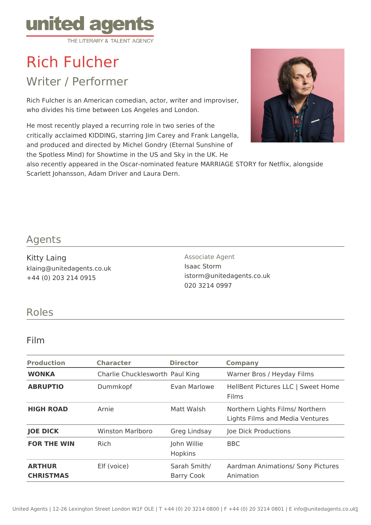

# Rich Fulcher

Writer / Performer

Rich Fulcher is an American comedian, actor, writer and improviser, who divides his time between Los Angeles and London.

He most recently played a recurring role in two series of the critically acclaimed KIDDING, starring Jim Carey and Frank Langella, and produced and directed by Michel Gondry (Eternal Sunshine of the Spotless Mind) for Showtime in the US and Sky in the UK. He



also recently appeared in the Oscar-nominated feature MARRIAGE STORY for Netflix, alongside Scarlett Johansson, Adam Driver and Laura Dern.

### Agents

Kitty Laing klaing@unitedagents.co.uk +44 (0) 203 214 0915

Associate Agent Isaac Storm istorm@unitedagents.co.uk 020 3214 0997

### Roles

#### Film

| <b>Production</b>                 | <b>Character</b>                | <b>Director</b>                   | Company                                                            |
|-----------------------------------|---------------------------------|-----------------------------------|--------------------------------------------------------------------|
| <b>WONKA</b>                      | Charlie Chucklesworth Paul King |                                   | Warner Bros / Heyday Films                                         |
| <b>ABRUPTIO</b>                   | Dummkopf                        | Evan Marlowe                      | HellBent Pictures LLC   Sweet Home<br>Films                        |
| <b>HIGH ROAD</b>                  | Arnie                           | Matt Walsh                        | Northern Lights Films/ Northern<br>Lights Films and Media Ventures |
| <b>JOE DICK</b>                   | <b>Winston Marlboro</b>         | Greg Lindsay                      | Joe Dick Productions                                               |
| <b>FOR THE WIN</b>                | <b>Rich</b>                     | John Willie<br>Hopkins            | <b>BBC</b>                                                         |
| <b>ARTHUR</b><br><b>CHRISTMAS</b> | Elf (voice)                     | Sarah Smith/<br><b>Barry Cook</b> | Aardman Animations/ Sony Pictures<br>Animation                     |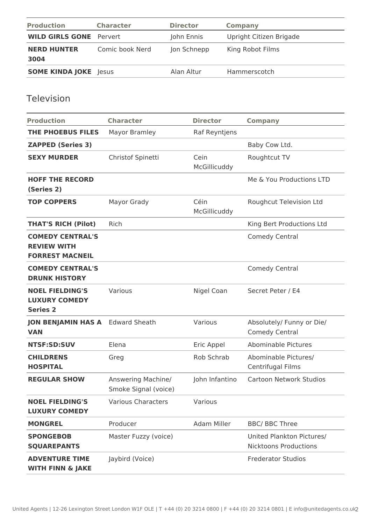| <b>Production</b>              | <b>Character</b> | <b>Director</b> | <b>Company</b>          |
|--------------------------------|------------------|-----------------|-------------------------|
| <b>WILD GIRLS GONE</b> Pervert |                  | John Ennis      | Upright Citizen Brigade |
| <b>NERD HUNTER</b><br>3004     | Comic book Nerd  | Jon Schnepp     | King Robot Films        |
| <b>SOME KINDA JOKE</b> Jesus   |                  | Alan Altur      | Hammerscotch            |

Television

| <b>Production</b>                                                       | <b>Character</b>                           | <b>Director</b>      | <b>Company</b>                                            |
|-------------------------------------------------------------------------|--------------------------------------------|----------------------|-----------------------------------------------------------|
| THE PHOEBUS FILES                                                       | <b>Mayor Bramley</b>                       | Raf Reyntjens        |                                                           |
| <b>ZAPPED (Series 3)</b>                                                |                                            |                      | Baby Cow Ltd.                                             |
| <b>SEXY MURDER</b>                                                      | Christof Spinetti                          | Cein<br>McGillicuddy | Roughtcut TV                                              |
| <b>HOFF THE RECORD</b><br>(Series 2)                                    |                                            |                      | Me & You Productions LTD                                  |
| <b>TOP COPPERS</b>                                                      | Mayor Grady                                | Céin<br>McGillicuddy | Roughcut Television Ltd                                   |
| <b>THAT'S RICH (Pilot)</b>                                              | Rich                                       |                      | King Bert Productions Ltd                                 |
| <b>COMEDY CENTRAL'S</b><br><b>REVIEW WITH</b><br><b>FORREST MACNEIL</b> |                                            |                      | <b>Comedy Central</b>                                     |
| <b>COMEDY CENTRAL'S</b><br><b>DRUNK HISTORY</b>                         |                                            |                      | <b>Comedy Central</b>                                     |
| <b>NOEL FIELDING'S</b><br><b>LUXURY COMEDY</b><br><b>Series 2</b>       | Various                                    | Nigel Coan           | Secret Peter / E4                                         |
| <b>JON BENJAMIN HAS A</b> Edward Sheath<br><b>VAN</b>                   |                                            | Various              | Absolutely/ Funny or Die/<br><b>Comedy Central</b>        |
| NTSF:SD:SUV                                                             | Elena                                      | Eric Appel           | <b>Abominable Pictures</b>                                |
| <b>CHILDRENS</b><br><b>HOSPITAL</b>                                     | Greg                                       | Rob Schrab           | Abominable Pictures/<br>Centrifugal Films                 |
| <b>REGULAR SHOW</b>                                                     | Answering Machine/<br>Smoke Signal (voice) | John Infantino       | <b>Cartoon Network Studios</b>                            |
| <b>NOEL FIELDING'S</b><br><b>LUXURY COMEDY</b>                          | <b>Various Characters</b>                  | Various              |                                                           |
| <b>MONGREL</b>                                                          | Producer                                   | <b>Adam Miller</b>   | <b>BBC/ BBC Three</b>                                     |
| <b>SPONGEBOB</b><br><b>SQUAREPANTS</b>                                  | Master Fuzzy (voice)                       |                      | United Plankton Pictures/<br><b>Nicktoons Productions</b> |
| <b>ADVENTURE TIME</b><br><b>WITH FINN &amp; JAKE</b>                    | Jaybird (Voice)                            |                      | <b>Frederator Studios</b>                                 |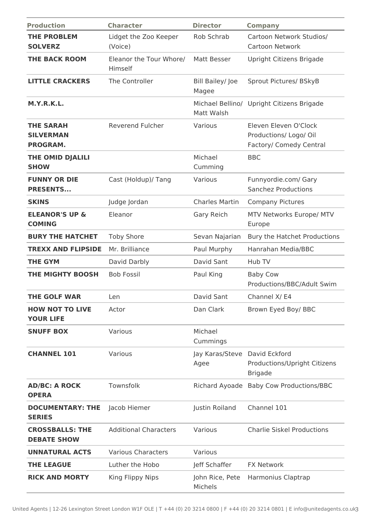| <b>Production</b>                                       | <b>Character</b>                   | <b>Director</b>                       | <b>Company</b>                                                           |
|---------------------------------------------------------|------------------------------------|---------------------------------------|--------------------------------------------------------------------------|
| <b>THE PROBLEM</b><br><b>SOLVERZ</b>                    | Lidget the Zoo Keeper<br>(Voice)   | Rob Schrab                            | Cartoon Network Studios/<br><b>Cartoon Network</b>                       |
| <b>THE BACK ROOM</b>                                    | Eleanor the Tour Whore/<br>Himself | Matt Besser                           | Upright Citizens Brigade                                                 |
| <b>LITTLE CRACKERS</b>                                  | The Controller                     | Bill Bailey/ Joe<br>Magee             | Sprout Pictures/ BSkyB                                                   |
| M.Y.R.K.L.                                              |                                    | Matt Walsh                            | Michael Bellino/ Upright Citizens Brigade                                |
| <b>THE SARAH</b><br><b>SILVERMAN</b><br><b>PROGRAM.</b> | <b>Reverend Fulcher</b>            | Various                               | Eleven Eleven O'Clock<br>Productions/Logo/Oil<br>Factory/ Comedy Central |
| THE OMID DJALILI<br><b>SHOW</b>                         |                                    | Michael<br>Cumming                    | <b>BBC</b>                                                               |
| <b>FUNNY OR DIE</b><br><b>PRESENTS</b>                  | Cast (Holdup)/ Tang                | Various                               | Funnyordie.com/ Gary<br><b>Sanchez Productions</b>                       |
| <b>SKINS</b>                                            | Judge Jordan                       | <b>Charles Martin</b>                 | <b>Company Pictures</b>                                                  |
| <b>ELEANOR'S UP &amp;</b><br><b>COMING</b>              | Eleanor                            | Gary Reich                            | MTV Networks Europe/ MTV<br>Europe                                       |
| <b>BURY THE HATCHET</b>                                 | <b>Toby Shore</b>                  | Sevan Najarian                        | Bury the Hatchet Productions                                             |
| <b>TREXX AND FLIPSIDE</b>                               | Mr. Brilliance                     | Paul Murphy                           | Hanrahan Media/BBC                                                       |
| <b>THE GYM</b>                                          | David Darbly                       | David Sant                            | Hub TV                                                                   |
| THE MIGHTY BOOSH                                        | <b>Bob Fossil</b>                  | Paul King                             | <b>Baby Cow</b><br>Productions/BBC/Adult Swim                            |
| <b>THE GOLF WAR</b>                                     | Len                                | David Sant                            | Channel X/E4                                                             |
| <b>HOW NOT TO LIVE</b><br><b>YOUR LIFE</b>              | Actor                              | Dan Clark                             | Brown Eyed Boy/ BBC                                                      |
| <b>SNUFF BOX</b>                                        | Various                            | Michael<br>Cummings                   |                                                                          |
| <b>CHANNEL 101</b>                                      | Various                            | Jay Karas/Steve David Eckford<br>Agee | Productions/Upright Citizens<br><b>Brigade</b>                           |
| <b>AD/BC: A ROCK</b><br><b>OPERA</b>                    | Townsfolk                          |                                       | Richard Ayoade Baby Cow Productions/BBC                                  |
| <b>DOCUMENTARY: THE</b><br><b>SERIES</b>                | Jacob Hiemer                       | Justin Roiland                        | Channel 101                                                              |
| <b>CROSSBALLS: THE</b><br><b>DEBATE SHOW</b>            | <b>Additional Characters</b>       | Various                               | <b>Charlie Siskel Productions</b>                                        |
| <b>UNNATURAL ACTS</b>                                   | <b>Various Characters</b>          | Various                               |                                                                          |
| <b>THE LEAGUE</b>                                       | Luther the Hobo                    | Jeff Schaffer                         | <b>FX Network</b>                                                        |
| <b>RICK AND MORTY</b>                                   | King Flippy Nips                   | John Rice, Pete<br>Michels            | Harmonius Claptrap                                                       |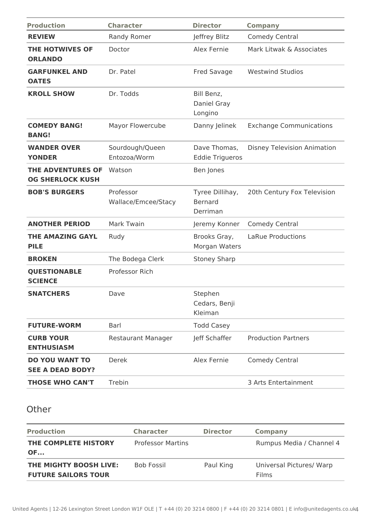| <b>Production</b>                                   | <b>Character</b>                 | <b>Director</b>                               | <b>Company</b>                 |
|-----------------------------------------------------|----------------------------------|-----------------------------------------------|--------------------------------|
| <b>REVIEW</b>                                       | Randy Romer                      | Jeffrey Blitz                                 | <b>Comedy Central</b>          |
| THE HOTWIVES OF<br><b>ORLANDO</b>                   | Doctor                           | Alex Fernie                                   | Mark Litwak & Associates       |
| <b>GARFUNKEL AND</b><br><b>OATES</b>                | Dr. Patel                        | <b>Fred Savage</b>                            | <b>Westwind Studios</b>        |
| <b>KROLL SHOW</b>                                   | Dr. Todds                        | Bill Benz,<br>Daniel Gray<br>Longino          |                                |
| <b>COMEDY BANG!</b><br><b>BANG!</b>                 | Mayor Flowercube                 | Danny Jelinek                                 | <b>Exchange Communications</b> |
| <b>WANDER OVER</b><br><b>YONDER</b>                 | Sourdough/Queen<br>Entozoa/Worm  | Dave Thomas,<br><b>Eddie Trigueros</b>        | Disney Television Animation    |
| <b>THE ADVENTURES OF</b><br><b>OG SHERLOCK KUSH</b> | Watson                           | Ben Jones                                     |                                |
| <b>BOB'S BURGERS</b>                                | Professor<br>Wallace/Emcee/Stacy | Tyree Dillihay,<br><b>Bernard</b><br>Derriman | 20th Century Fox Television    |
| <b>ANOTHER PERIOD</b>                               | Mark Twain                       | Jeremy Konner                                 | <b>Comedy Central</b>          |
| <b>THE AMAZING GAYL</b><br><b>PILE</b>              | Rudy                             | Brooks Gray,<br>Morgan Waters                 | <b>LaRue Productions</b>       |
| <b>BROKEN</b>                                       | The Bodega Clerk                 | <b>Stoney Sharp</b>                           |                                |
| <b>QUESTIONABLE</b><br><b>SCIENCE</b>               | Professor Rich                   |                                               |                                |
| <b>SNATCHERS</b>                                    | Dave                             | Stephen<br>Cedars, Benji<br>Kleiman           |                                |
| <b>FUTURE-WORM</b>                                  | Barl                             | <b>Todd Casey</b>                             |                                |
| <b>CURB YOUR</b><br><b>ENTHUSIASM</b>               | <b>Restaurant Manager</b>        | Jeff Schaffer                                 | <b>Production Partners</b>     |
| <b>DO YOU WANT TO</b><br><b>SEE A DEAD BODY?</b>    | <b>Derek</b>                     | Alex Fernie                                   | <b>Comedy Central</b>          |
| <b>THOSE WHO CAN'T</b>                              | Trebin                           |                                               | 3 Arts Entertainment           |

## Other

| <b>Production</b>                                    | <b>Character</b>         | <b>Director</b> | <b>Company</b>                    |
|------------------------------------------------------|--------------------------|-----------------|-----------------------------------|
| THE COMPLETE HISTORY<br>OF                           | <b>Professor Martins</b> |                 | Rumpus Media / Channel 4          |
| THE MIGHTY BOOSH LIVE:<br><b>FUTURE SAILORS TOUR</b> | <b>Bob Fossil</b>        | Paul King       | Universal Pictures/ Warp<br>Films |